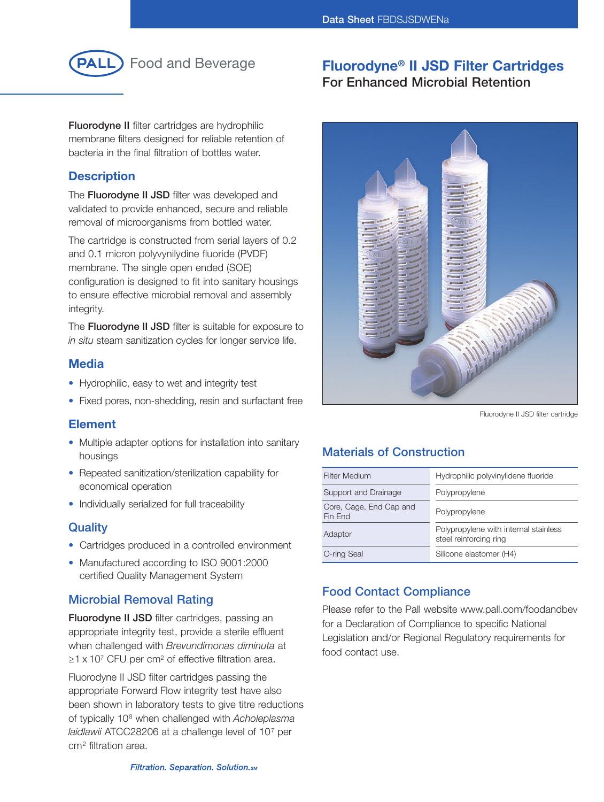

# **Fluorodyne® II JSD Filter Cartridges For Enhanced Microbial Retention**

**Fluorodyne II** filter cartridges are hydrophilic membrane filters designed for reliable retention of bacteria in the final filtration of bottles water.

## **Description**

The **Fluorodyne II JSD** filter was developed and validated to provide enhanced, secure and reliable removal of microorganisms from bottled water.

The cartridge is constructed from serial layers of 0.2 and 0.1 micron polyvynilydine fluoride (PVDF) membrane. The single open ended (SOE) configuration is designed to fit into sanitary housings to ensure effective microbial removal and assembly integrity.

The **Fluorodyne II JSD** filter is suitable for exposure to *in situ* steam sanitization cycles for longer service life.

## **Media**

- Hydrophilic, easy to wet and integrity test
- Fixed pores, non-shedding, resin and surfactant free

## **Element**

- Multiple adapter options for installation into sanitary housings
- Repeated sanitization/sterilization capability for economical operation
- Individually serialized for full traceability

## **Quality**

- Cartridges produced in a controlled environment
- Manufactured according to ISO 9001:2000 certified Quality Management System

## **Microbial Removal Rating**

**Fluorodyne II JSD** filter cartridges, passing an appropriate integrity test, provide a sterile effluent when challenged with *Brevundimonas diminuta* at  $\geq$ 1 x 10<sup>7</sup> CFU per cm<sup>2</sup> of effective filtration area.

Fluorodyne II JSD filter cartridges passing the appropriate Forward Flow integrity test have also been shown in laboratory tests to give titre reductions of typically 108 when challenged with *Acholeplasma laidlawii* ATCC28206 at a challenge level of 107 per cm2 filtration area.



Fluorodyne II JSD filter cartridge

## **Materials of Construction**

| <b>Filter Medium</b>               | Hydrophilic polyvinylidene fluoride                             |
|------------------------------------|-----------------------------------------------------------------|
| Support and Drainage               | Polypropylene                                                   |
| Core, Cage, End Cap and<br>Fin End | Polypropylene                                                   |
| Adaptor                            | Polypropylene with internal stainless<br>steel reinforcing ring |
| O-ring Seal                        | Silicone elastomer (H4)                                         |

## **Food Contact Compliance**

Please refer to the Pall website www.pall.com/foodandbev for a Declaration of Compliance to specific National Legislation and/or Regional Regulatory requirements for food contact use.